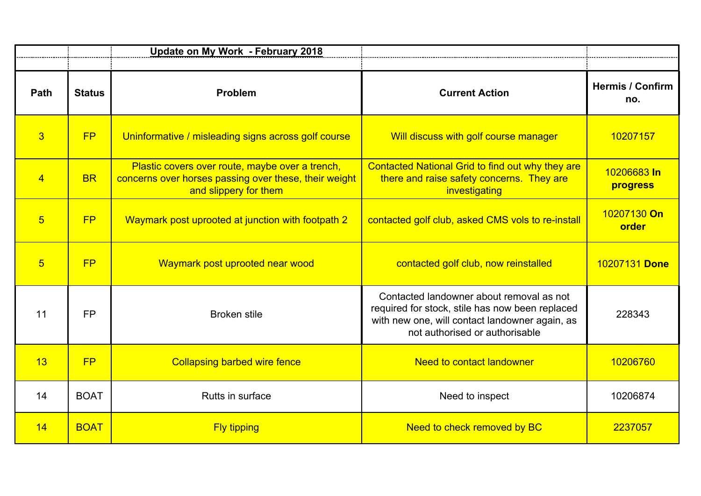|                |               | Update on My Work - February 2018                                                                                                 |                                                                                                                                                                                 |                                |
|----------------|---------------|-----------------------------------------------------------------------------------------------------------------------------------|---------------------------------------------------------------------------------------------------------------------------------------------------------------------------------|--------------------------------|
| Path           | <b>Status</b> | Problem                                                                                                                           | <b>Current Action</b>                                                                                                                                                           | <b>Hermis / Confirm</b><br>no. |
| $\overline{3}$ | FP            | Uninformative / misleading signs across golf course                                                                               | Will discuss with golf course manager                                                                                                                                           | 10207157                       |
| $\overline{4}$ | <b>BR</b>     | Plastic covers over route, maybe over a trench,<br>concerns over horses passing over these, their weight<br>and slippery for them | Contacted National Grid to find out why they are<br>there and raise safety concerns. They are<br>investigating                                                                  | 10206683 In<br>progress        |
| 5              | FP            | Waymark post uprooted at junction with footpath 2                                                                                 | contacted golf club, asked CMS vols to re-install                                                                                                                               | 10207130 On<br>order           |
| $\overline{5}$ | FP            | Waymark post uprooted near wood                                                                                                   | contacted golf club, now reinstalled                                                                                                                                            | 10207131 Done                  |
| 11             | <b>FP</b>     | <b>Broken stile</b>                                                                                                               | Contacted landowner about removal as not<br>required for stock, stile has now been replaced<br>with new one, will contact landowner again, as<br>not authorised or authorisable | 228343                         |
| 13             | FP            | <b>Collapsing barbed wire fence</b>                                                                                               | <b>Need to contact landowner</b>                                                                                                                                                | 10206760                       |
| 14             | <b>BOAT</b>   | Rutts in surface                                                                                                                  | Need to inspect                                                                                                                                                                 | 10206874                       |
| 14             | <b>BOAT</b>   | <b>Fly tipping</b>                                                                                                                | Need to check removed by BC                                                                                                                                                     | 2237057                        |